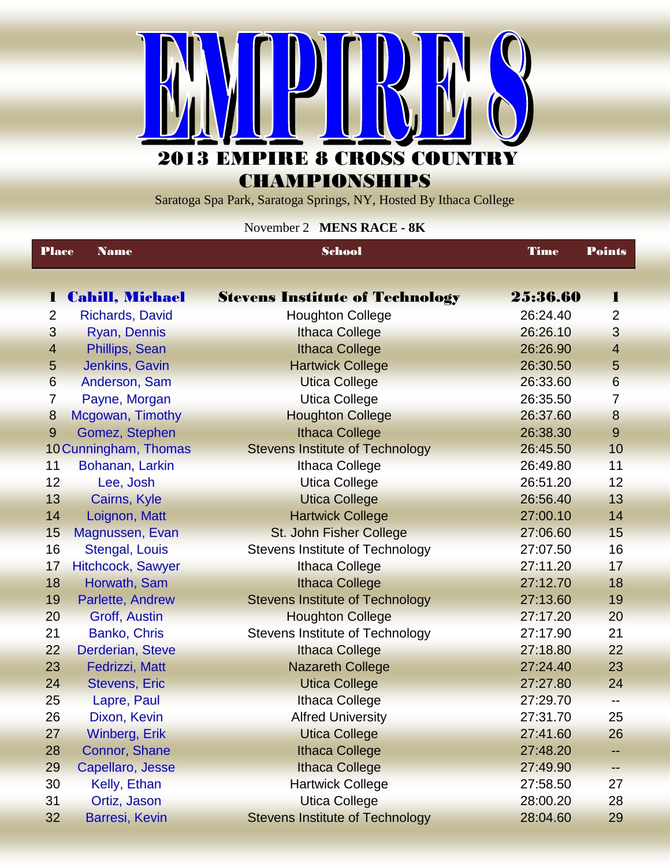

**CHAMPIONSHIPS** 

Saratoga Spa Park, Saratoga Springs, NY, Hosted By Ithaca College

November 2 **MENS RACE - 8K**

| <b>Place</b>   | <b>Name</b>            | <b>School</b>                          | <b>Time</b> | <b>Points</b>           |
|----------------|------------------------|----------------------------------------|-------------|-------------------------|
|                |                        |                                        |             |                         |
| 1              | <b>Cahill, Michael</b> | <b>Stevens Institute of Technology</b> | 25:36.60    | 1                       |
| $\overline{2}$ | <b>Richards, David</b> | <b>Houghton College</b>                | 26:24.40    | $\overline{2}$          |
| 3              | Ryan, Dennis           | <b>Ithaca College</b>                  | 26:26.10    | 3                       |
| $\overline{4}$ | Phillips, Sean         | <b>Ithaca College</b>                  | 26:26.90    | $\overline{\mathbf{4}}$ |
| 5              | Jenkins, Gavin         | <b>Hartwick College</b>                | 26:30.50    | $\overline{5}$          |
| $6\phantom{1}$ | Anderson, Sam          | <b>Utica College</b>                   | 26:33.60    | $6\phantom{1}$          |
| 7              | Payne, Morgan          | <b>Utica College</b>                   | 26:35.50    | $\overline{7}$          |
| 8              | Mcgowan, Timothy       | <b>Houghton College</b>                | 26:37.60    | $\bf 8$                 |
| 9              | Gomez, Stephen         | <b>Ithaca College</b>                  | 26:38.30    | 9                       |
|                | 10 Cunningham, Thomas  | <b>Stevens Institute of Technology</b> | 26:45.50    | 10                      |
| 11             | Bohanan, Larkin        | <b>Ithaca College</b>                  | 26:49.80    | 11                      |
| 12             | Lee, Josh              | <b>Utica College</b>                   | 26:51.20    | 12                      |
| 13             | Cairns, Kyle           | <b>Utica College</b>                   | 26:56.40    | 13                      |
| 14             | Loignon, Matt          | <b>Hartwick College</b>                | 27:00.10    | 14                      |
| 15             | Magnussen, Evan        | St. John Fisher College                | 27:06.60    | 15                      |
| 16             | <b>Stengal, Louis</b>  | <b>Stevens Institute of Technology</b> | 27:07.50    | 16                      |
| 17             | Hitchcock, Sawyer      | <b>Ithaca College</b>                  | 27:11.20    | 17                      |
| 18             | Horwath, Sam           | <b>Ithaca College</b>                  | 27:12.70    | 18                      |
| 19             | Parlette, Andrew       | <b>Stevens Institute of Technology</b> | 27:13.60    | 19                      |
| 20             | Groff, Austin          | <b>Houghton College</b>                | 27:17.20    | 20                      |
| 21             | Banko, Chris           | <b>Stevens Institute of Technology</b> | 27:17.90    | 21                      |
| 22             | Derderian, Steve       | <b>Ithaca College</b>                  | 27:18.80    | 22                      |
| 23             | Fedrizzi, Matt         | <b>Nazareth College</b>                | 27:24.40    | 23                      |
| 24             | <b>Stevens, Eric</b>   | <b>Utica College</b>                   | 27:27.80    | 24                      |
| 25             | Lapre, Paul            | <b>Ithaca College</b>                  | 27:29.70    | --                      |
| 26             | Dixon, Kevin           | <b>Alfred University</b>               | 27:31.70    | 25                      |
| 27             | <b>Winberg, Erik</b>   | <b>Utica College</b>                   | 27:41.60    | 26                      |
| 28             | Connor, Shane          | <b>Ithaca College</b>                  | 27:48.20    |                         |
| 29             | Capellaro, Jesse       | <b>Ithaca College</b>                  | 27:49.90    |                         |
| 30             | Kelly, Ethan           | <b>Hartwick College</b>                | 27:58.50    | 27                      |
| 31             | Ortiz, Jason           | <b>Utica College</b>                   | 28:00.20    | 28                      |
| 32             | <b>Barresi, Kevin</b>  | <b>Stevens Institute of Technology</b> | 28:04.60    | 29                      |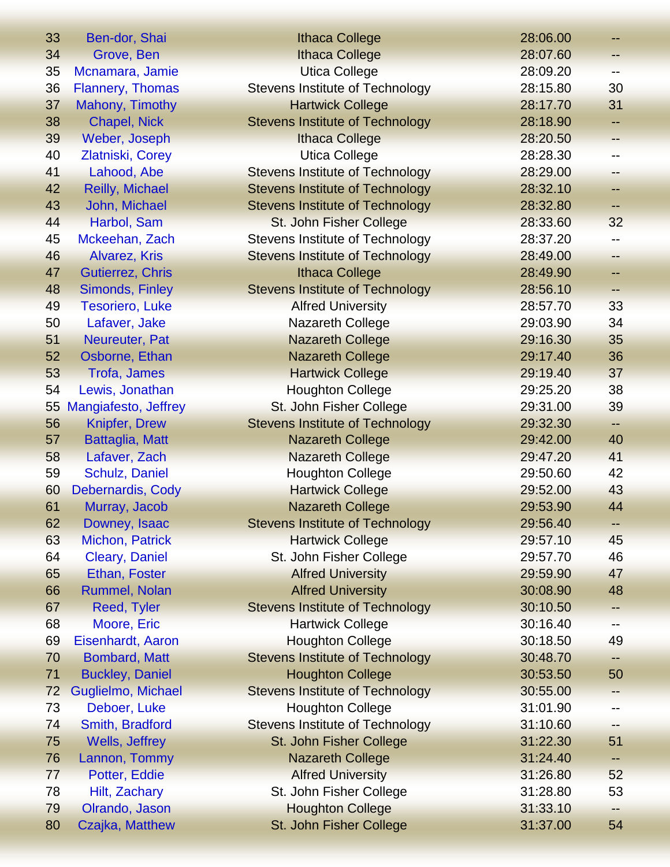| 33 | Ben-dor, Shai           | <b>Ithaca College</b>                  | 28:06.00 |       |
|----|-------------------------|----------------------------------------|----------|-------|
| 34 | Grove, Ben              | <b>Ithaca College</b>                  | 28:07.60 |       |
| 35 | Mcnamara, Jamie         | <b>Utica College</b>                   | 28:09.20 | $- -$ |
| 36 | <b>Flannery, Thomas</b> | <b>Stevens Institute of Technology</b> | 28:15.80 | 30    |
| 37 | Mahony, Timothy         | <b>Hartwick College</b>                | 28:17.70 | 31    |
| 38 | Chapel, Nick            | <b>Stevens Institute of Technology</b> | 28:18.90 | ۰.    |
| 39 | Weber, Joseph           | <b>Ithaca College</b>                  | 28:20.50 |       |
| 40 | Zlatniski, Corey        | <b>Utica College</b>                   | 28:28.30 |       |
| 41 | Lahood, Abe             | Stevens Institute of Technology        | 28:29.00 | --    |
| 42 | <b>Reilly, Michael</b>  | <b>Stevens Institute of Technology</b> | 28:32.10 | --    |
| 43 | John, Michael           | <b>Stevens Institute of Technology</b> | 28:32.80 |       |
| 44 | Harbol, Sam             | St. John Fisher College                | 28:33.60 | 32    |
| 45 | Mckeehan, Zach          | Stevens Institute of Technology        | 28:37.20 | --    |
| 46 | Alvarez, Kris           | <b>Stevens Institute of Technology</b> | 28:49.00 | --    |
| 47 | <b>Gutierrez, Chris</b> | <b>Ithaca College</b>                  | 28:49.90 |       |
| 48 | Simonds, Finley         | <b>Stevens Institute of Technology</b> | 28:56.10 |       |
| 49 | <b>Tesoriero, Luke</b>  | <b>Alfred University</b>               | 28:57.70 | 33    |
| 50 | Lafaver, Jake           | Nazareth College                       | 29:03.90 | 34    |
| 51 | Neureuter, Pat          | <b>Nazareth College</b>                | 29:16.30 | 35    |
| 52 | Osborne, Ethan          | <b>Nazareth College</b>                | 29:17.40 | 36    |
| 53 | Trofa, James            | <b>Hartwick College</b>                | 29:19.40 | 37    |
| 54 | Lewis, Jonathan         | <b>Houghton College</b>                | 29:25.20 | 38    |
| 55 | Mangiafesto, Jeffrey    | St. John Fisher College                | 29:31.00 | 39    |
| 56 | <b>Knipfer, Drew</b>    | <b>Stevens Institute of Technology</b> | 29:32.30 | н.    |
| 57 | Battaglia, Matt         | <b>Nazareth College</b>                | 29:42.00 | 40    |
| 58 | Lafaver, Zach           | <b>Nazareth College</b>                | 29:47.20 | 41    |
| 59 | Schulz, Daniel          | <b>Houghton College</b>                | 29:50.60 | 42    |
| 60 | Debernardis, Cody       | <b>Hartwick College</b>                | 29:52.00 | 43    |
| 61 | Murray, Jacob           | <b>Nazareth College</b>                | 29:53.90 | 44    |
| 62 | Downey, Isaac           | <b>Stevens Institute of Technology</b> | 29:56.40 | ⊷     |
| 63 | Michon, Patrick         | <b>Hartwick College</b>                | 29:57.10 | 45    |
| 64 | Cleary, Daniel          | St. John Fisher College                | 29:57.70 | 46    |
| 65 | Ethan, Foster           | <b>Alfred University</b>               | 29:59.90 | 47    |
| 66 | Rummel, Nolan           | <b>Alfred University</b>               | 30:08.90 | 48    |
| 67 | Reed, Tyler             | <b>Stevens Institute of Technology</b> | 30:10.50 |       |
| 68 | Moore, Eric             | <b>Hartwick College</b>                | 30:16.40 |       |
| 69 | Eisenhardt, Aaron       | <b>Houghton College</b>                | 30:18.50 | 49    |
| 70 | <b>Bombard, Matt</b>    | <b>Stevens Institute of Technology</b> | 30:48.70 |       |
| 71 | <b>Buckley, Daniel</b>  | <b>Houghton College</b>                | 30:53.50 | 50    |
| 72 | Guglielmo, Michael      | <b>Stevens Institute of Technology</b> | 30:55.00 | --    |
| 73 | Deboer, Luke            | <b>Houghton College</b>                | 31:01.90 | --    |
| 74 | Smith, Bradford         | <b>Stevens Institute of Technology</b> | 31:10.60 |       |
| 75 | Wells, Jeffrey          | St. John Fisher College                | 31:22.30 | 51    |
| 76 | Lannon, Tommy           | <b>Nazareth College</b>                | 31:24.40 | ⊷     |
| 77 | Potter, Eddie           | <b>Alfred University</b>               | 31:26.80 | 52    |
| 78 | Hilt, Zachary           | St. John Fisher College                | 31:28.80 | 53    |
| 79 | Olrando, Jason          | <b>Houghton College</b>                | 31:33.10 |       |
|    |                         |                                        |          |       |
| 80 | Czajka, Matthew         | St. John Fisher College                | 31:37.00 | 54    |